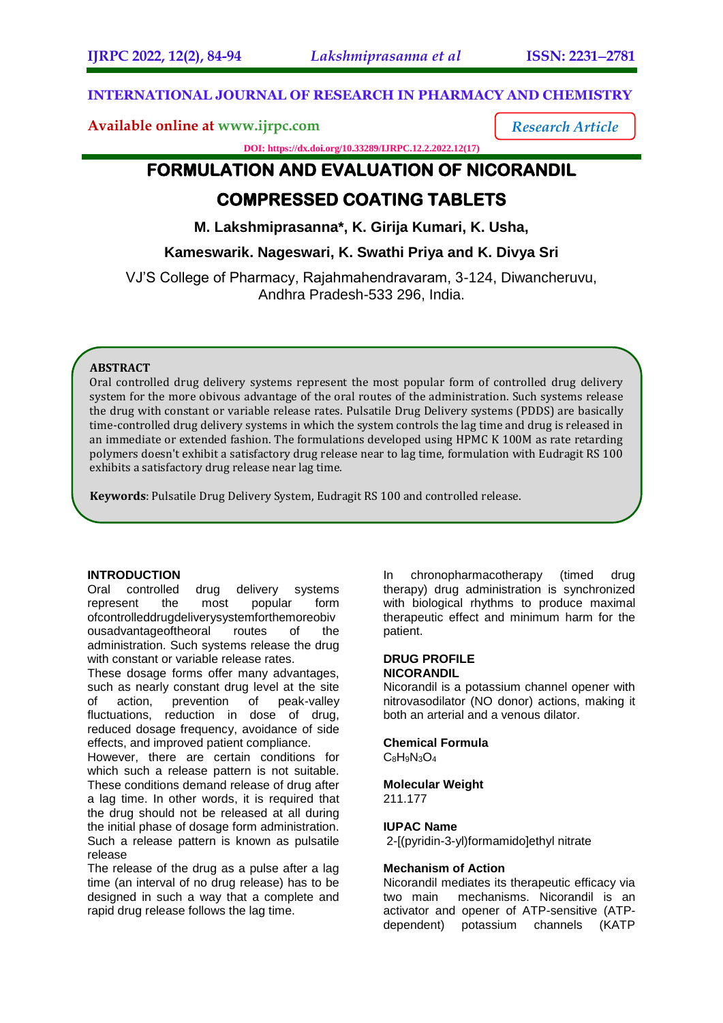*Research Article*

## **INTERNATIONAL JOURNAL OF RESEARCH IN PHARMACY AND CHEMISTRY**

## **Available online at [www.ijrpc.com](http://www.ijrpc.com/)**

**DOI: https://dx.doi.org/10.33289/IJRPC.12.2.2022.12(17)** 

# **FORMULATION AND EVALUATION OF NICORANDIL COMPRESSED COATING TABLETS**

**M. Lakshmiprasanna\*, K. Girija Kumari, K. Usha,**

**Kameswarik. Nageswari, K. Swathi Priya and K. Divya Sri**

VJ'S College of Pharmacy, Rajahmahendravaram, 3-124, Diwancheruvu, Andhra Pradesh-533 296, India.

## **ABSTRACT**

Oral controlled drug delivery systems represent the most popular form of controlled drug delivery system for the more obivous advantage of the oral routes of the administration. Such systems release the drug with constant or variable release rates. Pulsatile Drug Delivery systems (PDDS) are basically time-controlled drug delivery systems in which the system controls the lag time and drug is released in an immediate or extended fashion. The formulations developed using HPMC K 100M as rate retarding polymers doesn't exhibit a satisfactory drug release near to lag time, formulation with Eudragit RS 100 exhibits a satisfactory drug release near lag time.

**Keywords**: Pulsatile Drug Delivery System, Eudragit RS 100 and controlled release.

## **INTRODUCTION**

Oral controlled drug delivery systems represent the most popular form ofcontrolleddrugdeliverysystemforthemoreobiv ousadvantageoftheoral routes of the administration. Such systems release the drug with constant or variable release rates.

These dosage forms offer many advantages, such as nearly constant drug level at the site of action, prevention of peak-valley fluctuations, reduction in dose of drug, reduced dosage frequency, avoidance of side effects, and improved patient compliance.

However, there are certain conditions for which such a release pattern is not suitable. These conditions demand release of drug after a lag time. In other words, it is required that the drug should not be released at all during the initial phase of dosage form administration. Such a release pattern is known as pulsatile release

The release of the drug as a pulse after a lag time (an interval of no drug release) has to be designed in such a way that a complete and rapid drug release follows the lag time.

In chronopharmacotherapy (timed drug therapy) drug administration is synchronized with biological rhythms to produce maximal therapeutic effect and minimum harm for the patient.

#### **DRUG PROFILE NICORANDIL**

Nicorandil is a potassium channel opener with nitrovasodilator (NO donor) actions, making it both an arterial and a venous dilator.

**Chemical Formula**  $C_8H_9N_3O_4$ 

#### **Molecular Weight** 211.177

## **IUPAC Name**

2-[(pyridin-3-yl)formamido]ethyl nitrate

#### **Mechanism of Action**

Nicorandil mediates its therapeutic efficacy via two main mechanisms. Nicorandil is an activator and opener of ATP-sensitive (ATPdependent) potassium channels (KATP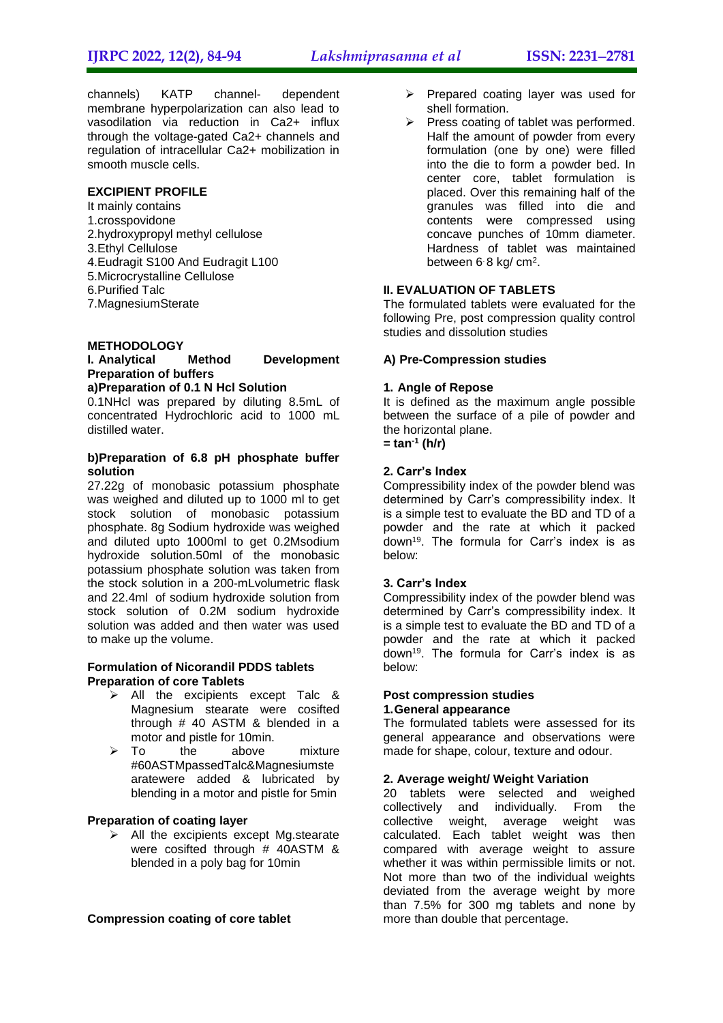channels) KATP channel- dependent membrane hyperpolarization can also lead to vasodilation via reduction in Ca2+ influx through the voltage-gated Ca2+ channels and regulation of intracellular Ca2+ mobilization in smooth muscle cells.

## **EXCIPIENT PROFILE**

It mainly contains 1.crosspovidone 2.hydroxypropyl methyl cellulose 3.Ethyl Cellulose 4.Eudragit S100 And Eudragit L100 5.Microcrystalline Cellulose 6.Purified Talc 7.MagnesiumSterate

#### **METHODOLOGY**

## **I. Analytical Method Development Preparation of buffers**

#### **a)Preparation of 0.1 N Hcl Solution**

0.1NHcl was prepared by diluting 8.5mL of concentrated Hydrochloric acid to 1000 mL distilled water.

## **b)Preparation of 6.8 pH phosphate buffer solution**

27.22g of monobasic potassium phosphate was weighed and diluted up to 1000 ml to get stock solution of monobasic potassium phosphate. 8g Sodium hydroxide was weighed and diluted upto 1000ml to get 0.2Msodium hydroxide solution.50ml of the monobasic potassium phosphate solution was taken from the stock solution in a 200-mLvolumetric flask and 22.4ml of sodium hydroxide solution from stock solution of 0.2M sodium hydroxide solution was added and then water was used to make up the volume.

#### **Formulation of Nicorandil PDDS tablets Preparation of core Tablets**

- $\triangleright$  All the excipients except Talc & Magnesium stearate were cosifted through # 40 ASTM & blended in a motor and pistle for 10min.
- > To the above mixture #60ASTMpassedTalc&Magnesiumste aratewere added & lubricated by blending in a motor and pistle for 5min

#### **Preparation of coating layer**

 $\triangleright$  All the excipients except Mg.stearate were cosifted through # 40ASTM & blended in a poly bag for 10min

#### **Compression coating of core tablet**

- $\triangleright$  Prepared coating layer was used for shell formation.
- $\triangleright$  Press coating of tablet was performed. Half the amount of powder from every formulation (one by one) were filled into the die to form a powder bed. In center core, tablet formulation is placed. Over this remaining half of the granules was filled into die and contents were compressed using concave punches of 10mm diameter. Hardness of tablet was maintained between 6 8 kg/ cm<sup>2</sup>.

## **II. EVALUATION OF TABLETS**

The formulated tablets were evaluated for the following Pre, post compression quality control studies and dissolution studies

#### **A) Pre-Compression studies**

#### **1. Angle of Repose**

It is defined as the maximum angle possible between the surface of a pile of powder and the horizontal plane.

**= tan-1 (h/r)**

## **2. Carr's Index**

Compressibility index of the powder blend was determined by Carr's compressibility index. It is a simple test to evaluate the BD and TD of a powder and the rate at which it packed down<sup>19</sup>. The formula for Carr's index is as below:

#### **3. Carr's Index**

Compressibility index of the powder blend was determined by Carr's compressibility index. It is a simple test to evaluate the BD and TD of a powder and the rate at which it packed down<sup>19</sup>. The formula for Carr's index is as below:

#### **Post compression studies 1.General appearance**

The formulated tablets were assessed for its general appearance and observations were made for shape, colour, texture and odour.

#### **2. Average weight/ Weight Variation**

20 tablets were selected and weighed collectively and individually. From the collective weight, average weight was calculated. Each tablet weight was then compared with average weight to assure whether it was within permissible limits or not. Not more than two of the individual weights deviated from the average weight by more than 7.5% for 300 mg tablets and none by more than double that percentage.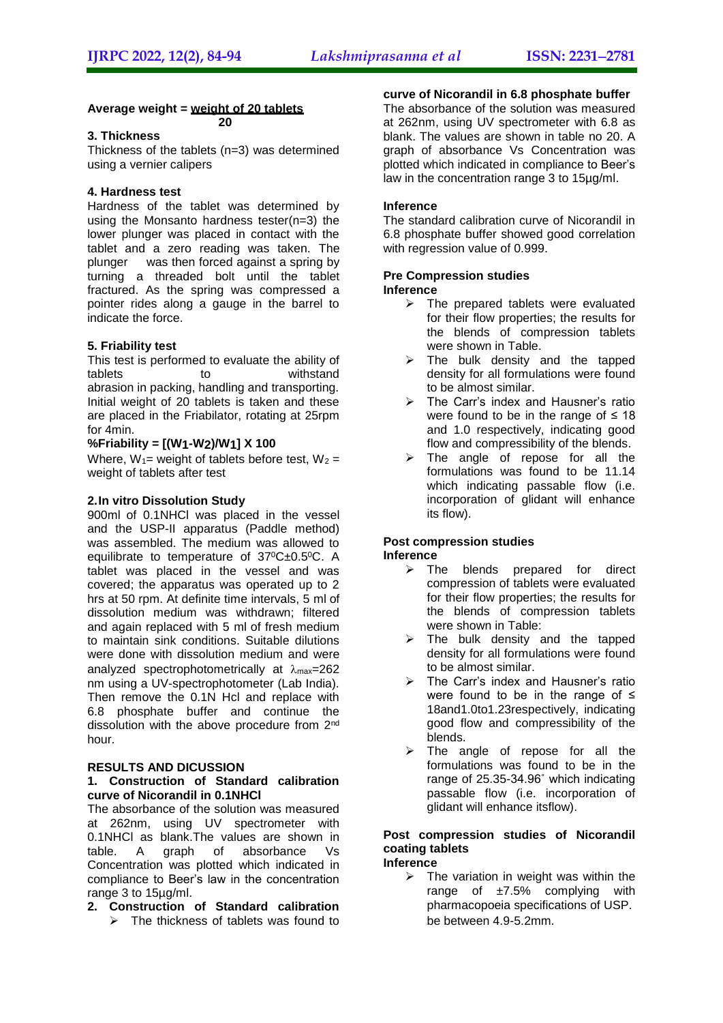## **Average weight = weight of 20 tablets**

## **3. Thickness**

Thickness of the tablets (n=3) was determined using a vernier calipers

**20**

## **4. Hardness test**

Hardness of the tablet was determined by using the Monsanto hardness tester(n=3) the lower plunger was placed in contact with the tablet and a zero reading was taken. The plunger was then forced against a spring by turning a threaded bolt until the tablet fractured. As the spring was compressed a pointer rides along a gauge in the barrel to indicate the force.

## **5. Friability test**

This test is performed to evaluate the ability of tablets to withstand abrasion in packing, handling and transporting. Initial weight of 20 tablets is taken and these are placed in the Friabilator, rotating at 25rpm for 4min.

#### **%Friability = [(W1-W2)/W1] X 100**

Where,  $W_1$ = weight of tablets before test,  $W_2$  = weight of tablets after test

## **2.In vitro Dissolution Study**

900ml of 0.1NHCl was placed in the vessel and the USP-II apparatus (Paddle method) was assembled. The medium was allowed to equilibrate to temperature of 37°C±0.5°C. A tablet was placed in the vessel and was covered; the apparatus was operated up to 2 hrs at 50 rpm. At definite time intervals, 5 ml of dissolution medium was withdrawn; filtered and again replaced with 5 ml of fresh medium to maintain sink conditions. Suitable dilutions were done with dissolution medium and were analyzed spectrophotometrically at  $\lambda_{\text{max}}$ =262 nm using a UV-spectrophotometer (Lab India). Then remove the 0.1N Hcl and replace with 6.8 phosphate buffer and continue the dissolution with the above procedure from 2<sup>nd</sup> hour.

#### **RESULTS AND DICUSSION**

#### **1. Construction of Standard calibration curve of Nicorandil in 0.1NHCl**

The absorbance of the solution was measured at 262nm, using UV spectrometer with 0.1NHCl as blank.The values are shown in table. A graph of absorbance Vs Concentration was plotted which indicated in compliance to Beer's law in the concentration range 3 to 15µg/ml.

## **2. Construction of Standard calibration**

 $\triangleright$  The thickness of tablets was found to be between 4.9-5.2mm.

## **curve of Nicorandil in 6.8 phosphate buffer**

The absorbance of the solution was measured at 262nm, using UV spectrometer with 6.8 as blank. The values are shown in table no 20. A graph of absorbance Vs Concentration was plotted which indicated in compliance to Beer's law in the concentration range 3 to 15µg/ml.

## **Inference**

The standard calibration curve of Nicorandil in 6.8 phosphate buffer showed good correlation with regression value of 0.999.

#### **Pre Compression studies Inference**

- $\triangleright$  The prepared tablets were evaluated for their flow properties; the results for
- the blends of compression tablets were shown in Table.
- $\triangleright$  The bulk density and the tapped density for all formulations were found to be almost similar.
- $\triangleright$  The Carr's index and Hausner's ratio were found to be in the range of  $\leq 18$ and 1.0 respectively, indicating good flow and compressibility of the blends.
- $\triangleright$  The angle of repose for all the formulations was found to be 11.14 which indicating passable flow (i.e. incorporation of glidant will enhance its flow).

#### **Post compression studies Inference**

- $\triangleright$  The blends prepared for direct compression of tablets were evaluated for their flow properties; the results for the blends of compression tablets were shown in Table:
- $\triangleright$  The bulk density and the tapped density for all formulations were found to be almost similar.
- > The Carr's index and Hausner's ratio were found to be in the range of  $\leq$ 18and1.0to1.23respectively, indicating good flow and compressibility of the blends.
- $\triangleright$  The angle of repose for all the formulations was found to be in the range of 25.35-34.96˚ which indicating passable flow (i.e. incorporation of glidant will enhance itsflow).

#### **Post compression studies of Nicorandil coating tablets Inference**

 $\triangleright$  The variation in weight was within the range of  $\pm 7.5\%$  complying with pharmacopoeia specifications of USP.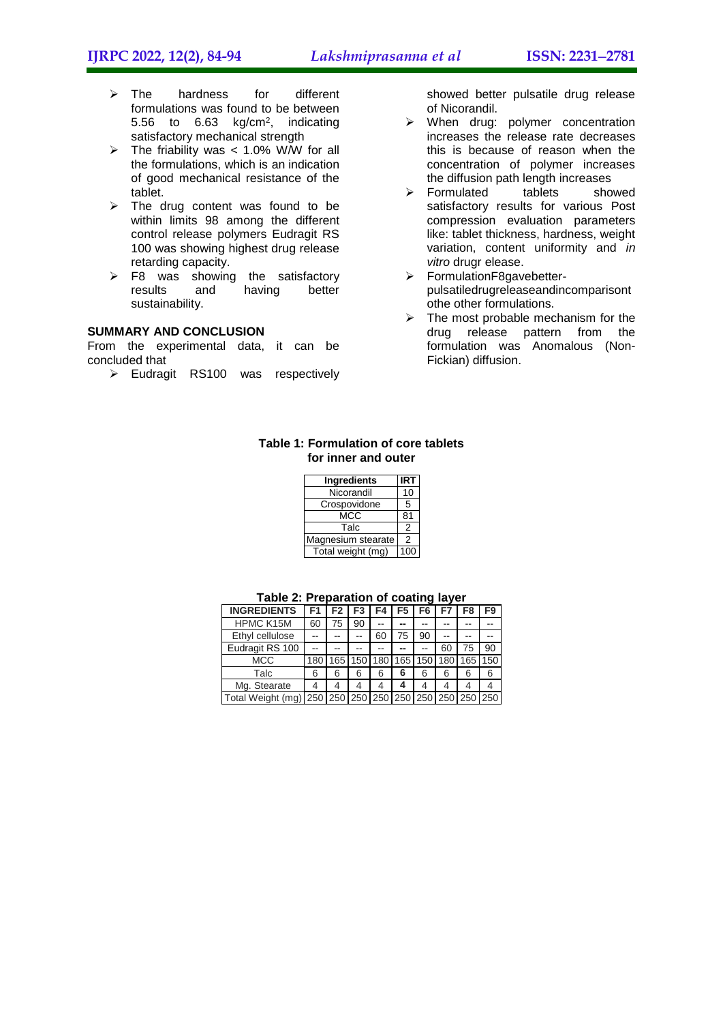- $\triangleright$  The hardness for different formulations was found to be between 5.56 to 6.63 kg/cm<sup>2</sup> , indicating satisfactory mechanical strength
- $\triangleright$  The friability was < 1.0% W/W for all the formulations, which is an indication of good mechanical resistance of the tablet.
- $\triangleright$  The drug content was found to be within limits 98 among the different control release polymers Eudragit RS 100 was showing highest drug release retarding capacity.
- $\triangleright$  F8 was showing the satisfactory<br>results and having better having sustainability.

## **SUMMARY AND CONCLUSION**

From the experimental data, it can be concluded that

Eudragit RS100 was respectively

showed better pulsatile drug release of Nicorandil.

- $\triangleright$  When drug: polymer concentration increases the release rate decreases this is because of reason when the concentration of polymer increases the diffusion path length increases<br>Formulated tablets showed
- $\triangleright$  Formulated satisfactory results for various Post compression evaluation parameters like: tablet thickness, hardness, weight variation, content uniformity and *in vitro* drugr elease.
- FormulationF8gavebetterpulsatiledrugreleaseandincomparisont othe other formulations.
- $\triangleright$  The most probable mechanism for the drug release pattern from the formulation was Anomalous (Non-Fickian) diffusion.

#### **Table 1: Formulation of core tablets for inner and outer**

| <b>Ingredients</b> | IRT |
|--------------------|-----|
| Nicorandil         | 10  |
| Crospovidone       | 5   |
| MCC                | 81  |
| Talc               | 2   |
| Magnesium stearate | 2   |
| Total weight (mg)  | 100 |

| <b>INGREDIENTS</b>                                    | F1  | F2 | F <sub>3</sub> | F4 | F5                                      | F6 |    | F8 | F9  |
|-------------------------------------------------------|-----|----|----------------|----|-----------------------------------------|----|----|----|-----|
| <b>HPMC K15M</b>                                      | 60  | 75 | 90             |    |                                         |    |    |    |     |
| Ethyl cellulose                                       |     |    |                | 60 | 75                                      | 90 |    |    |     |
| Eudragit RS 100                                       |     |    |                |    |                                         |    | 60 | 75 | 90  |
| <b>MCC</b>                                            | 180 |    |                |    | 165   150   180   165   150   180   165 |    |    |    | 150 |
| Talc                                                  | 6   | 6  | 6              | 6  | 6                                       | 6  | 6  | 6  | 6   |
| Mg. Stearate                                          |     | 4  | 4              | 4  |                                         |    |    |    | 4   |
| Total Weight (mg) 250 250 250 250 250 250 250 250 250 |     |    |                |    |                                         |    |    |    |     |

#### **Table 2: Preparation of coating layer**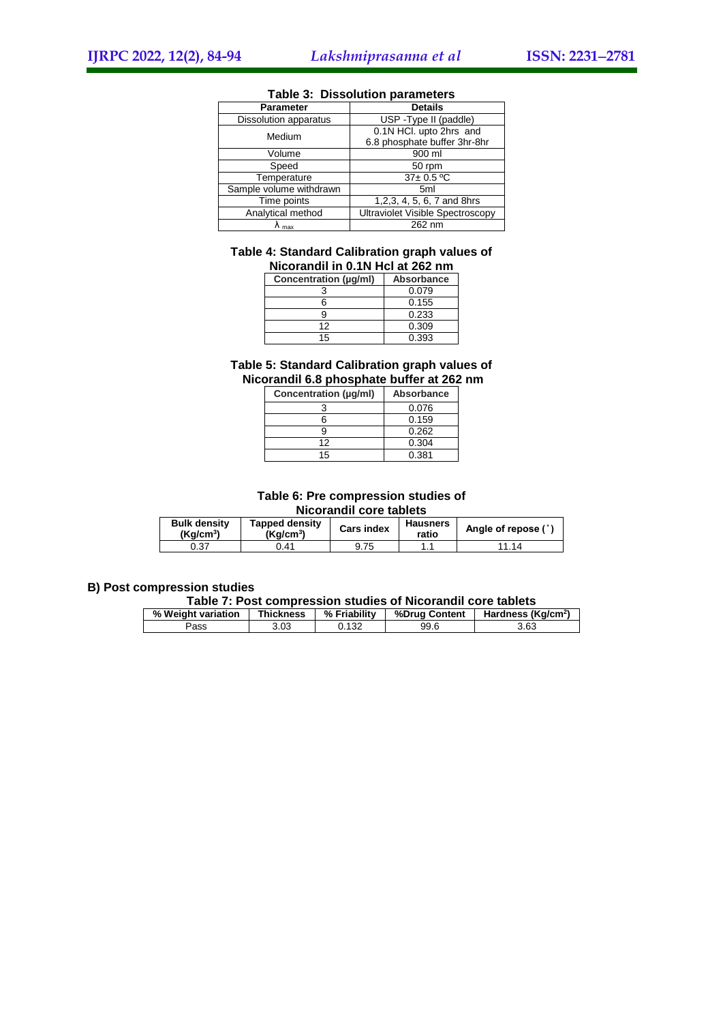| <b>Parameter</b>             | <b>Details</b>                          |
|------------------------------|-----------------------------------------|
| <b>Dissolution apparatus</b> | USP - Type II (paddle)                  |
| Medium                       | 0.1N HCl. upto 2hrs and                 |
|                              | 6.8 phosphate buffer 3hr-8hr            |
| Volume                       | 900 ml                                  |
| Speed                        | 50 rpm                                  |
| Temperature                  | $37 \pm 0.5$ °C                         |
| Sample volume withdrawn      | 5 <sub>ml</sub>                         |
| Time points                  | 1,2,3, 4, 5, 6, 7 and 8hrs              |
| Analytical method            | <b>Ultraviolet Visible Spectroscopy</b> |
| max                          | 262 nm                                  |

#### **Table 3: Dissolution parameters**

# **Table 4: Standard Calibration graph values of**

| Nicorandil in 0.1N Hcl at 262 nm |                   |
|----------------------------------|-------------------|
| Concentration (µg/ml)            | <b>Absorbance</b> |
|                                  | 0.079             |
| หิ                               | 0.155             |
| g                                | 0.233             |
| 12                               | 0.309             |
| 15                               | 0.393             |

## **Table 5: Standard Calibration graph values of Nicorandil 6.8 phosphate buffer at 262 nm**

| Concentration (µg/ml) | <b>Absorbance</b> |
|-----------------------|-------------------|
|                       | 0.076             |
|                       | 0.159             |
|                       | 0.262             |
| 12                    | 0.304             |
| 15                    | 0.381             |

#### **Table 6: Pre compression studies of Nicorandil core tablets**

| <b>Bulk density</b><br>(Ka/cm <sup>3</sup> ) | <b>Tapped density</b><br>(Ka/cm <sup>3</sup> ) | <b>Cars index</b> | <b>Hausners</b><br>ratio | Angle of repose (° |  |
|----------------------------------------------|------------------------------------------------|-------------------|--------------------------|--------------------|--|
| 0.37                                         | 0.41                                           | 9.75              |                          | 11.14              |  |

## **B) Post compression studies**

#### **Table 7: Post compression studies of Nicorandil core tablets**

| % Weight variation | <b>Thickness</b> | % Friability | %Drug Content | Hardness (Kg/cm <sup>2</sup> ) |
|--------------------|------------------|--------------|---------------|--------------------------------|
| Pass               | 3.03             | 0.132        | 99.6          | 3.63                           |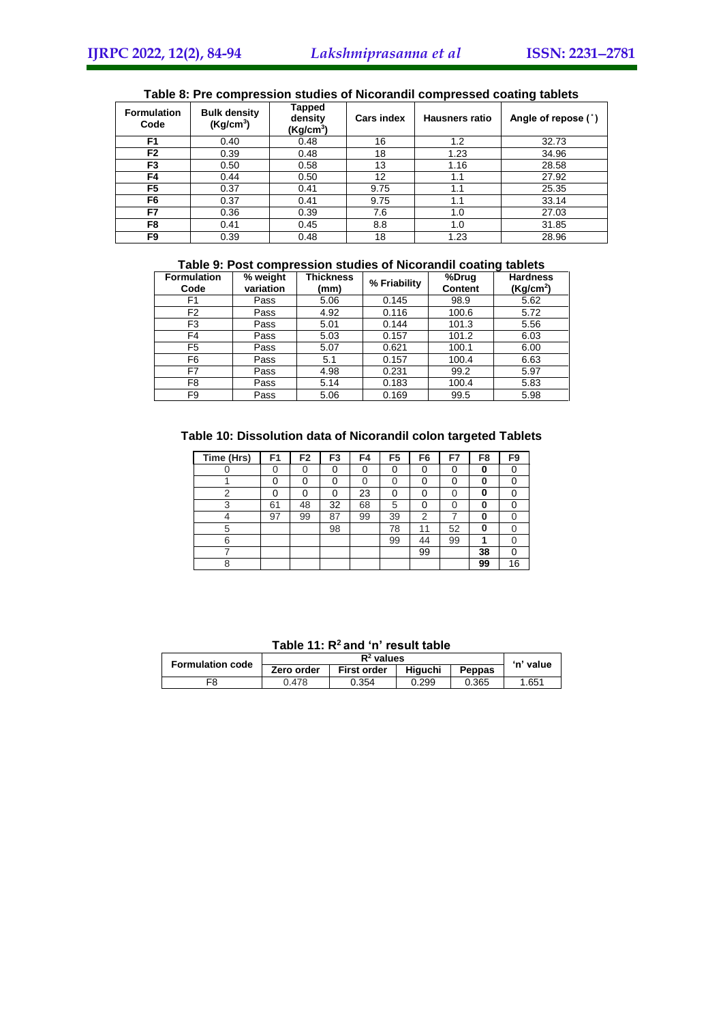| <b>Formulation</b><br>Code | <b>Bulk density</b><br>(Kg/cm <sup>3</sup> ) | Tapped<br>density<br>(Kg/cm <sup>3</sup> ) | <b>Cars index</b> | <b>Hausners ratio</b> | Angle of repose (°) |
|----------------------------|----------------------------------------------|--------------------------------------------|-------------------|-----------------------|---------------------|
| F1                         | 0.40                                         | 0.48                                       | 16                | 1.2                   | 32.73               |
| F <sub>2</sub>             | 0.39                                         | 0.48                                       | 18                | 1.23                  | 34.96               |
| F3                         | 0.50                                         | 0.58                                       | 13                | 1.16                  | 28.58               |
| F4                         | 0.44                                         | 0.50                                       | 12                | 1.1                   | 27.92               |
| F5                         | 0.37                                         | 0.41                                       | 9.75              | 1.1                   | 25.35               |
| F6                         | 0.37                                         | 0.41                                       | 9.75              | 1.1                   | 33.14               |
| F7                         | 0.36                                         | 0.39                                       | 7.6               | 1.0                   | 27.03               |
| F8                         | 0.41                                         | 0.45                                       | 8.8               | 1.0                   | 31.85               |
| F9                         | 0.39                                         | 0.48                                       | 18                | 1.23                  | 28.96               |

## **Table 8: Pre compression studies of Nicorandil compressed coating tablets**

## **Table 9: Post compression studies of Nicorandil coating tablets**

| <b>Formulation</b><br>Code | % weight<br>variation | <b>Thickness</b><br>(mm) | % Friability | %Drug<br><b>Content</b> | <b>Hardness</b><br>(Kq/cm <sup>2</sup> ) |
|----------------------------|-----------------------|--------------------------|--------------|-------------------------|------------------------------------------|
| F1                         | Pass                  | 5.06                     | 0.145        | 98.9                    | 5.62                                     |
| F <sub>2</sub>             | Pass                  | 4.92                     | 0.116        | 100.6                   | 5.72                                     |
| F3                         | Pass                  | 5.01                     | 0.144        | 101.3                   | 5.56                                     |
| F4                         | Pass                  | 5.03                     | 0.157        | 101.2                   | 6.03                                     |
| F <sub>5</sub>             | Pass                  | 5.07                     | 0.621        | 100.1                   | 6.00                                     |
| F6                         | Pass                  | 5.1                      | 0.157        | 100.4                   | 6.63                                     |
| F7                         | Pass                  | 4.98                     | 0.231        | 99.2                    | 5.97                                     |
| F8                         | Pass                  | 5.14                     | 0.183        | 100.4                   | 5.83                                     |
| F9                         | Pass                  | 5.06                     | 0.169        | 99.5                    | 5.98                                     |

## **Table 10: Dissolution data of Nicorandil colon targeted Tablets**

| Time (Hrs) | F1 | F <sub>2</sub> | F <sub>3</sub> | F4 | F <sub>5</sub> | F <sub>6</sub> | F7 | F8 | F9 |
|------------|----|----------------|----------------|----|----------------|----------------|----|----|----|
|            |    |                |                | 0  |                | U              | 0  |    |    |
|            | ი  |                |                | ი  |                | U              | 0  | O  |    |
| ⌒          | ŋ  |                |                | 23 |                | U              | 0  | 0  |    |
| 3          | 61 | 48             | 32             | 68 | 5              | ი              | 0  | O  |    |
|            | 97 | 99             | 87             | 99 | 39             | $\overline{2}$ |    | O  |    |
| 5          |    |                | 98             |    | 78             | 11             | 52 | O  |    |
| 6          |    |                |                |    | 99             | 44             | 99 |    |    |
|            |    |                |                |    |                | 99             |    | 38 |    |
|            |    |                |                |    |                |                |    | 99 | 16 |

| Table 11: R <sup>2</sup> and 'n' result table |  |  |  |  |
|-----------------------------------------------|--|--|--|--|
|-----------------------------------------------|--|--|--|--|

|  | <b>Formulation code</b> |            | 'n' value          |         |        |       |
|--|-------------------------|------------|--------------------|---------|--------|-------|
|  |                         | Zero order | <b>First order</b> | Hiauchi | Peppas |       |
|  | F8                      | 0.478      | 0.354              | 0.299   | 0.365  | 1.651 |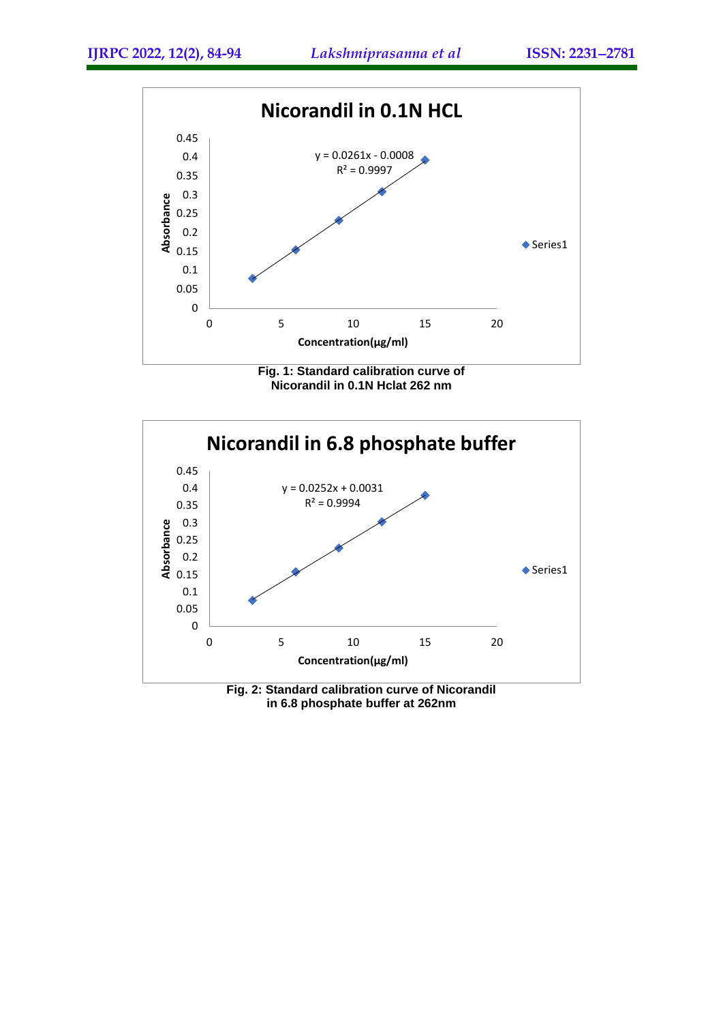





**in 6.8 phosphate buffer at 262nm**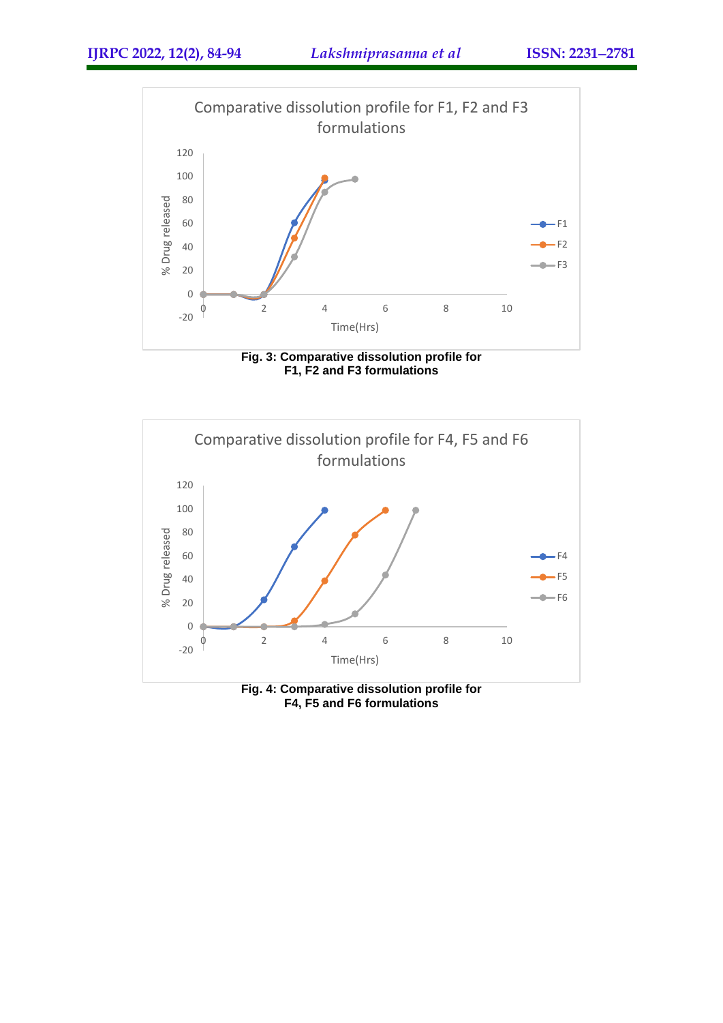





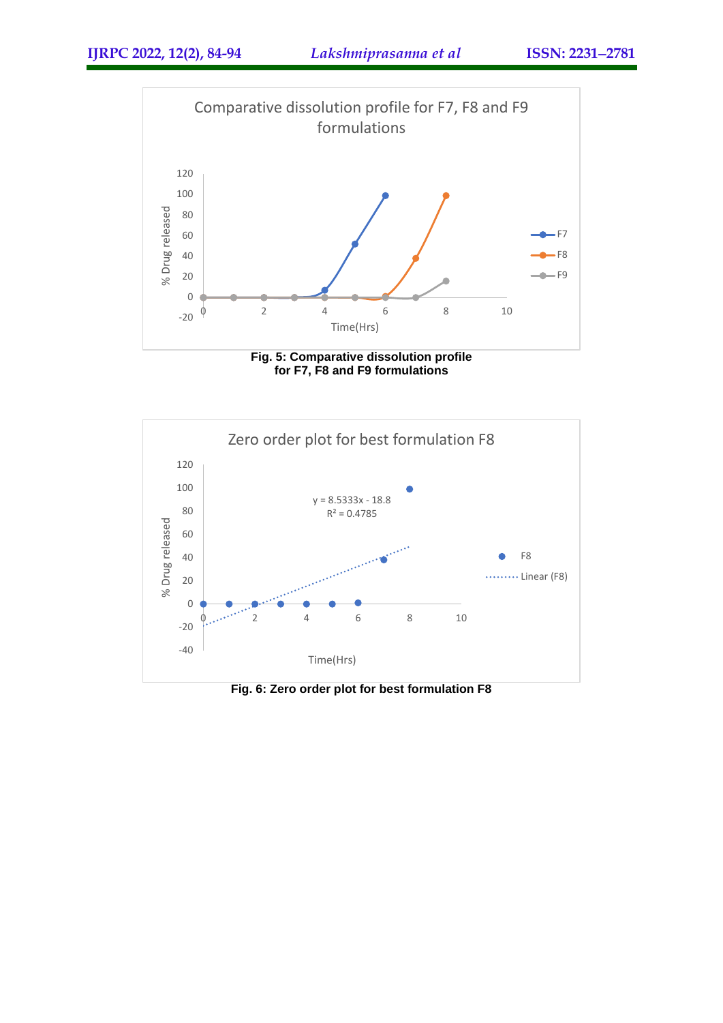

**Fig. 5: Comparative dissolution profile for F7, F8 and F9 formulations**



**Fig. 6: Zero order plot for best formulation F8**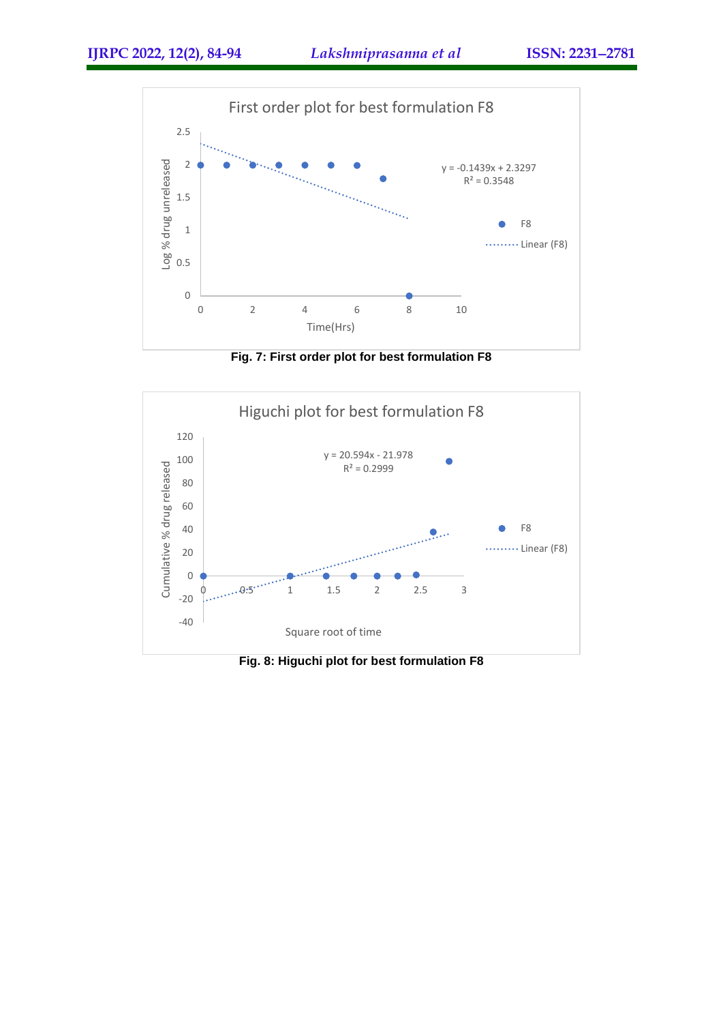

**Fig. 7: First order plot for best formulation F8**



**Fig. 8: Higuchi plot for best formulation F8**